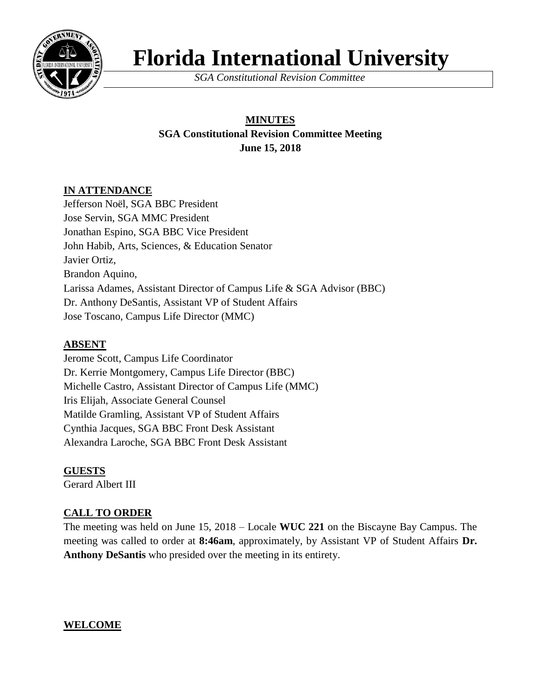

# **Florida International University**

*SGA Constitutional Revision Committee*

# **MINUTES SGA Constitutional Revision Committee Meeting June 15, 2018**

# **IN ATTENDANCE**

Jefferson Noël, SGA BBC President Jose Servin, SGA MMC President Jonathan Espino, SGA BBC Vice President John Habib, Arts, Sciences, & Education Senator Javier Ortiz, Brandon Aquino, Larissa Adames, Assistant Director of Campus Life & SGA Advisor (BBC) Dr. Anthony DeSantis, Assistant VP of Student Affairs Jose Toscano, Campus Life Director (MMC)

# **ABSENT**

Jerome Scott, Campus Life Coordinator Dr. Kerrie Montgomery, Campus Life Director (BBC) Michelle Castro, Assistant Director of Campus Life (MMC) Iris Elijah, Associate General Counsel Matilde Gramling, Assistant VP of Student Affairs Cynthia Jacques, SGA BBC Front Desk Assistant Alexandra Laroche, SGA BBC Front Desk Assistant

# **GUESTS**

Gerard Albert III

# **CALL TO ORDER**

The meeting was held on June 15, 2018 – Locale **WUC 221** on the Biscayne Bay Campus. The meeting was called to order at **8:46am**, approximately, by Assistant VP of Student Affairs **Dr. Anthony DeSantis** who presided over the meeting in its entirety.

# **WELCOME**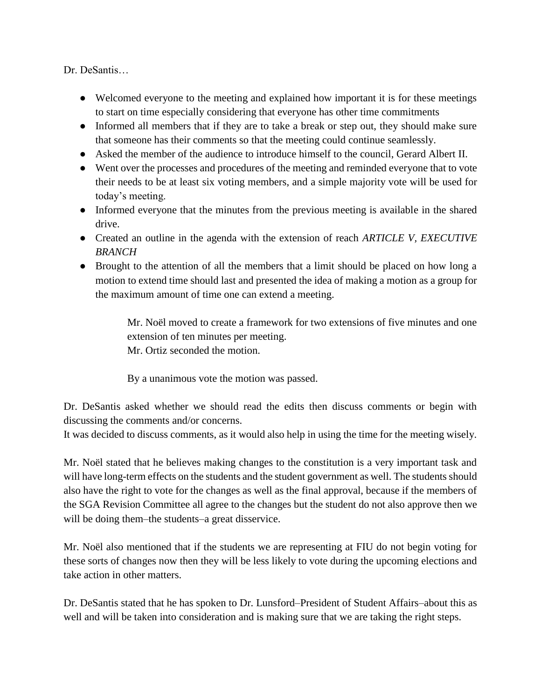Dr. DeSantis…

- Welcomed everyone to the meeting and explained how important it is for these meetings to start on time especially considering that everyone has other time commitments
- Informed all members that if they are to take a break or step out, they should make sure that someone has their comments so that the meeting could continue seamlessly.
- Asked the member of the audience to introduce himself to the council, Gerard Albert II.
- Went over the processes and procedures of the meeting and reminded everyone that to vote their needs to be at least six voting members, and a simple majority vote will be used for today's meeting.
- Informed everyone that the minutes from the previous meeting is available in the shared drive.
- Created an outline in the agenda with the extension of reach *ARTICLE V, EXECUTIVE BRANCH*
- Brought to the attention of all the members that a limit should be placed on how long a motion to extend time should last and presented the idea of making a motion as a group for the maximum amount of time one can extend a meeting.

Mr. Noël moved to create a framework for two extensions of five minutes and one extension of ten minutes per meeting.

Mr. Ortiz seconded the motion.

By a unanimous vote the motion was passed.

Dr. DeSantis asked whether we should read the edits then discuss comments or begin with discussing the comments and/or concerns.

It was decided to discuss comments, as it would also help in using the time for the meeting wisely.

Mr. Noël stated that he believes making changes to the constitution is a very important task and will have long-term effects on the students and the student government as well. The students should also have the right to vote for the changes as well as the final approval, because if the members of the SGA Revision Committee all agree to the changes but the student do not also approve then we will be doing them–the students–a great disservice.

Mr. Noël also mentioned that if the students we are representing at FIU do not begin voting for these sorts of changes now then they will be less likely to vote during the upcoming elections and take action in other matters.

Dr. DeSantis stated that he has spoken to Dr. Lunsford–President of Student Affairs–about this as well and will be taken into consideration and is making sure that we are taking the right steps.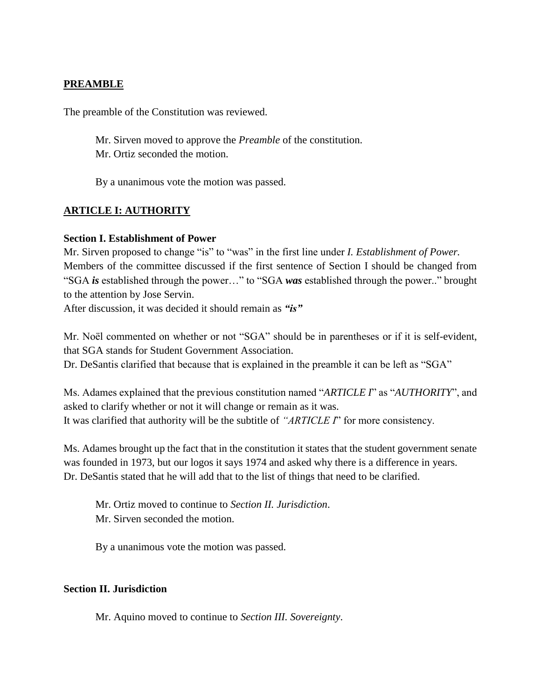#### **PREAMBLE**

The preamble of the Constitution was reviewed.

Mr. Sirven moved to approve the *Preamble* of the constitution. Mr. Ortiz seconded the motion.

By a unanimous vote the motion was passed.

#### **ARTICLE I: AUTHORITY**

#### **Section I. Establishment of Power**

Mr. Sirven proposed to change "is" to "was" in the first line under *I. Establishment of Power.* Members of the committee discussed if the first sentence of Section I should be changed from "SGA *is* established through the power…" to "SGA *was* established through the power.." brought to the attention by Jose Servin.

After discussion, it was decided it should remain as *"is"*

Mr. Noël commented on whether or not "SGA" should be in parentheses or if it is self-evident, that SGA stands for Student Government Association.

Dr. DeSantis clarified that because that is explained in the preamble it can be left as "SGA"

Ms. Adames explained that the previous constitution named "*ARTICLE I*" as "*AUTHORITY*", and asked to clarify whether or not it will change or remain as it was. It was clarified that authority will be the subtitle of *"ARTICLE I*" for more consistency.

Ms. Adames brought up the fact that in the constitution it states that the student government senate was founded in 1973, but our logos it says 1974 and asked why there is a difference in years. Dr. DeSantis stated that he will add that to the list of things that need to be clarified.

Mr. Ortiz moved to continue to *Section II. Jurisdiction*. Mr. Sirven seconded the motion.

By a unanimous vote the motion was passed.

#### **Section II. Jurisdiction**

Mr. Aquino moved to continue to *Section III. Sovereignty*.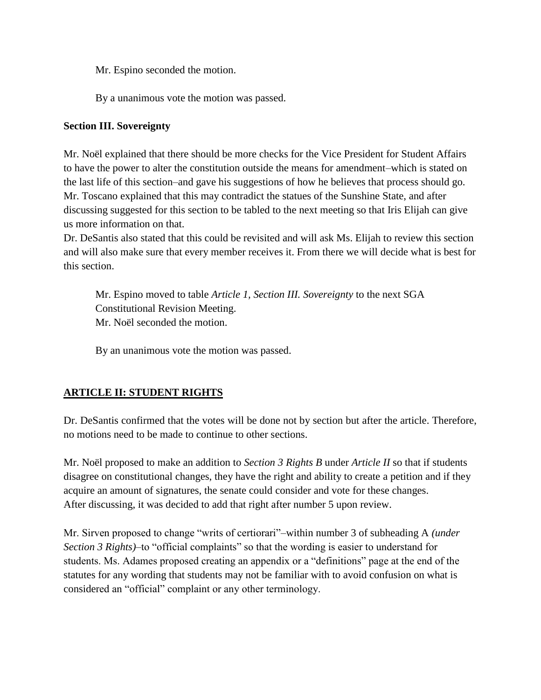Mr. Espino seconded the motion.

By a unanimous vote the motion was passed.

#### **Section III. Sovereignty**

Mr. Noël explained that there should be more checks for the Vice President for Student Affairs to have the power to alter the constitution outside the means for amendment–which is stated on the last life of this section–and gave his suggestions of how he believes that process should go. Mr. Toscano explained that this may contradict the statues of the Sunshine State, and after discussing suggested for this section to be tabled to the next meeting so that Iris Elijah can give us more information on that.

Dr. DeSantis also stated that this could be revisited and will ask Ms. Elijah to review this section and will also make sure that every member receives it. From there we will decide what is best for this section.

Mr. Espino moved to table *Article 1, Section III. Sovereignty* to the next SGA Constitutional Revision Meeting. Mr. Noël seconded the motion.

By an unanimous vote the motion was passed.

# **ARTICLE II: STUDENT RIGHTS**

Dr. DeSantis confirmed that the votes will be done not by section but after the article. Therefore, no motions need to be made to continue to other sections.

Mr. Noël proposed to make an addition to *Section 3 Rights B* under *Article II* so that if students disagree on constitutional changes, they have the right and ability to create a petition and if they acquire an amount of signatures, the senate could consider and vote for these changes. After discussing, it was decided to add that right after number 5 upon review.

Mr. Sirven proposed to change "writs of certiorari"–within number 3 of subheading A *(under Section 3 Rights)*–to "official complaints" so that the wording is easier to understand for students. Ms. Adames proposed creating an appendix or a "definitions" page at the end of the statutes for any wording that students may not be familiar with to avoid confusion on what is considered an "official" complaint or any other terminology.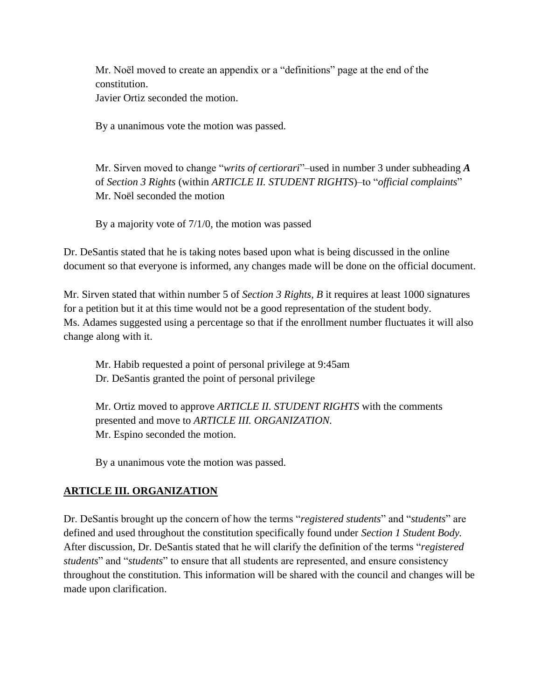Mr. Noël moved to create an appendix or a "definitions" page at the end of the constitution.

Javier Ortiz seconded the motion.

By a unanimous vote the motion was passed.

Mr. Sirven moved to change "*writs of certiorari*"–used in number 3 under subheading *A* of *Section 3 Rights* (within *ARTICLE II. STUDENT RIGHTS*)–to "*official complaints*" Mr. Noël seconded the motion

By a majority vote of 7/1/0, the motion was passed

Dr. DeSantis stated that he is taking notes based upon what is being discussed in the online document so that everyone is informed, any changes made will be done on the official document.

Mr. Sirven stated that within number 5 of *Section 3 Rights, B* it requires at least 1000 signatures for a petition but it at this time would not be a good representation of the student body. Ms. Adames suggested using a percentage so that if the enrollment number fluctuates it will also change along with it.

Mr. Habib requested a point of personal privilege at 9:45am Dr. DeSantis granted the point of personal privilege

Mr. Ortiz moved to approve *ARTICLE II. STUDENT RIGHTS* with the comments presented and move to *ARTICLE III. ORGANIZATION.* Mr. Espino seconded the motion.

By a unanimous vote the motion was passed.

# **ARTICLE III. ORGANIZATION**

Dr. DeSantis brought up the concern of how the terms "*registered students*" and "*students*" are defined and used throughout the constitution specifically found under *Section 1 Student Body.* After discussion, Dr. DeSantis stated that he will clarify the definition of the terms "*registered students*" and "*students*" to ensure that all students are represented, and ensure consistency throughout the constitution. This information will be shared with the council and changes will be made upon clarification.